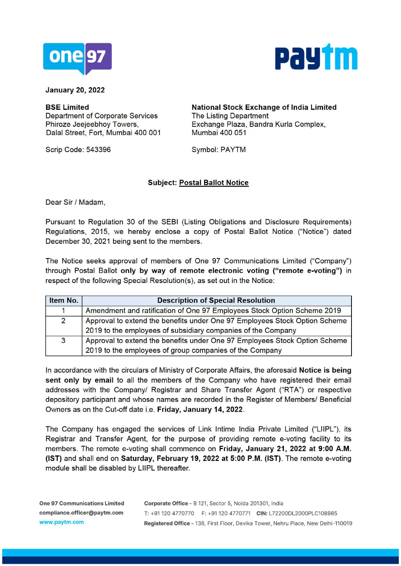



**January 20, 2022** 

**BSE Limited**  Department of Corporate Services Phiroze Jeejeebhoy Towers, Dalal Street, Fort, Mumbai 400 001 Mumbai 400 051

Scrip Code: 543396 Symbol: PAYTM

**National Stock Exchange of India Limited**  The Listing Department Exchange Plaza, Sandra Kurla Complex,

### **Subject: Postal Ballot Notice**

Dear Sir / Madam,

Pursuant to Regulation 30 of the SEBI (Listing Obligations and Disclosure Requirements) Regulations, 2015, we hereby enclose a copy of Postal Ballot Notice ("Notice") dated December 30, 2021 being sent to the members.

The Notice seeks approval of members of One 97 Communications Limited ("Company") through Postal Ballot **only by way of remote electronic voting ("remote e-voting")** in respect of the following Special Resolution(s), as set out in the Notice:

| Item No.       | <b>Description of Special Resolution</b>                                                                                                   |
|----------------|--------------------------------------------------------------------------------------------------------------------------------------------|
|                | Amendment and ratification of One 97 Employees Stock Option Scheme 2019                                                                    |
| $\overline{2}$ | Approval to extend the benefits under One 97 Employees Stock Option Scheme<br>2019 to the employees of subsidiary companies of the Company |
| $\overline{3}$ | Approval to extend the benefits under One 97 Employees Stock Option Scheme<br>2019 to the employees of group companies of the Company      |

In accordance with the circulars of Ministry of Corporate Affairs, the aforesaid **Notice is being sent only by email** to all the members of the Company who have registered their email addresses with the Company/ Registrar and Share Transfer Agent ("RTA") or respective depository participant and whose names are recorded in the Register of Members/ Beneficial Owners as on the Cut-off date i.e. **Friday, January 14, 2022.** 

The Company has engaged the services of Link lntime India Private Limited ("LIIPL"), its Registrar and Transfer Agent, for the purpose of providing remote e-voting facility to its members. The remote e-voting shall commence on **Friday, January 21, 2022 at 9:00 A.M. (1ST)** and shall end on **Saturday, February 19, 2022 at 5:00 P.M. (1ST).** The remote e-voting module shall be disabled by LIIPL thereafter.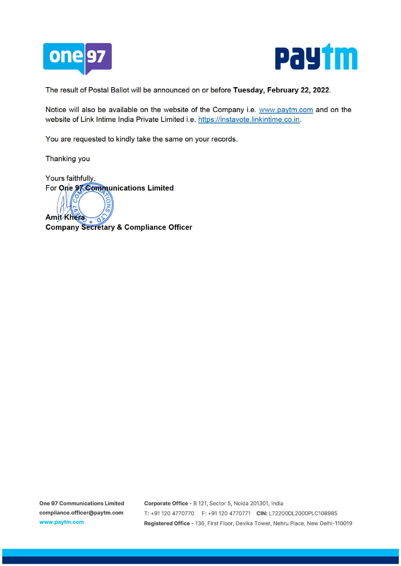



The result of Postal Ballot will be announced on or before **Tuesday, February 22, 2022.** 

Notice will also be available on the website of the Company i.e. www.paytm.com and on the website of Link lntime India Private Limited i.e. https://instavote.linkintime.co.in.

You are requested to kindly take the same on your records.

Thanking you

Yours faithfully, For One 97 Communications Limited

**CONS Amit Khera Company Secretary & Compliance Officer**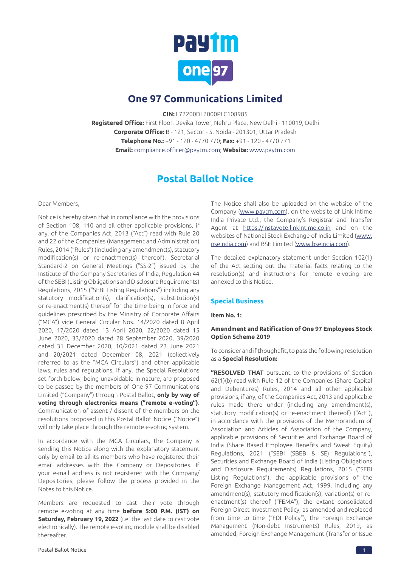

## **One 97 Communications Limited**

**CIN:** L72200DL2000PLC108985

**Registered Office:** First Floor, Devika Tower, Nehru Place, New Delhi - 110019, Delhi **Corporate Office:** B - 121, Sector - 5, Noida - 201301, Uttar Pradesh **Telephone No.:** +91 - 120 - 4770 770; **Fax:** +91 - 120 - 4770 771 **Email:** compliance.officer@paytm.com; **Website:** [www.paytm.com](http://www.paytm.com)

## **Postal Ballot Notice**

### Dear Members,

Notice is hereby given that in compliance with the provisions of Section 108, 110 and all other applicable provisions, if any, of the Companies Act, 2013 ("Act") read with Rule 20 and 22 of the Companies (Management and Administration) Rules, 2014 ("Rules") (including any amendment(s), statutory modification(s) or re-enactment(s) thereof), Secretarial Standard-2 on General Meetings ("SS-2") issued by the Institute of the Company Secretaries of India, Regulation 44 of the SEBI (Listing Obligations and Disclosure Requirements) Regulations, 2015 ("SEBI Listing Regulations") including any statutory modification(s), clarification(s), substitution(s) or re-enactment(s) thereof for the time being in force and guidelines prescribed by the Ministry of Corporate Affairs ("MCA") vide General Circular Nos. 14/2020 dated 8 April 2020, 17/2020 dated 13 April 2020, 22/2020 dated 15 June 2020, 33/2020 dated 28 September 2020, 39/2020 dated 31 December 2020, 10/2021 dated 23 June 2021 and 20/2021 dated December 08, 2021 (collectively referred to as the "MCA Circulars") and other applicable laws, rules and regulations, if any, the Special Resolutions set forth below, being unavoidable in nature, are proposed to be passed by the members of One 97 Communications Limited ("Company") through Postal Ballot, **only by way of voting through electronics means ("remote e-voting")**. Communication of assent / dissent of the members on the resolutions proposed in this Postal Ballot Notice ("Notice") will only take place through the remote e-voting system.

In accordance with the MCA Circulars, the Company is sending this Notice along with the explanatory statement only by email to all its members who have registered their email addresses with the Company or Depositories. If your e-mail address is not registered with the Company/ Depositories, please follow the process provided in the Notes to this Notice.

Members are requested to cast their vote through remote e-voting at any time **before 5:00 P.M. (IST) on Saturday, February 19, 2022** (i.e. the last date to cast vote electronically). The remote e-voting module shall be disabled thereafter.

The Notice shall also be uploaded on the website of the Company (www.paytm.com), on the website of Link Intime India Private Ltd., the Company's Registrar and Transfer Agent at https://instavote.linkintime.co.in and on the websites of National Stock Exchange of India Limited (www. nseindia.com) and BSE Limited (www.bseindia.com).

The detailed explanatory statement under Section 102(1) of the Act setting out the material facts relating to the resolution(s) and instructions for remote e-voting are annexed to this Notice.

### **Special Business**

### **Item No. 1:**

### **Amendment and Ratification of One 97 Employees Stock Option Scheme 2019**

To consider and if thought fit, to pass the following resolution as a **Special Resolution:**

**"RESOLVED THAT** pursuant to the provisions of Section 62(1)(b) read with Rule 12 of the Companies (Share Capital and Debentures) Rules, 2014 and all other applicable provisions, if any, of the Companies Act, 2013 and applicable rules made there under (including any amendment(s), statutory modification(s) or re-enactment thereof) ("Act"), in accordance with the provisions of the Memorandum of Association and Articles of Association of the Company, applicable provisions of Securities and Exchange Board of India (Share Based Employee Benefits and Sweat Equity) Regulations, 2021 ("SEBI (SBEB & SE) Regulations"), Securities and Exchange Board of India (Listing Obligations and Disclosure Requirements) Regulations, 2015 ("SEBI Listing Regulations"), the applicable provisions of the Foreign Exchange Management Act, 1999, including any amendment(s), statutory modification(s), variation(s) or reenactment(s) thereof ("FEMA"), the extant consolidated Foreign Direct Investment Policy, as amended and replaced from time to time ("FDI Policy"), the Foreign Exchange Management (Non-debt Instruments) Rules, 2019, as amended, Foreign Exchange Management (Transfer or Issue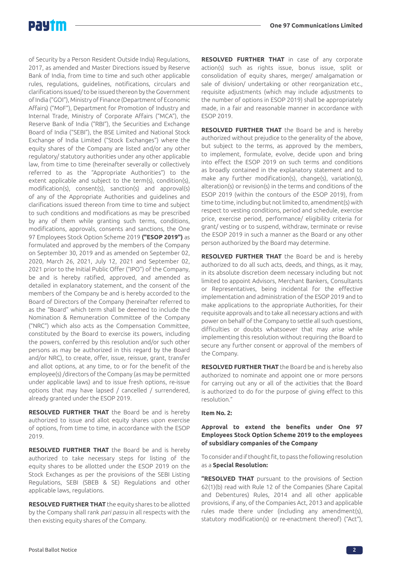

of Security by a Person Resident Outside India) Regulations, 2017, as amended and Master Directions issued by Reserve Bank of India, from time to time and such other applicable rules, regulations, guidelines, notifications, circulars and clarifications issued/ to be issued thereon by the Government of India ("GOI"), Ministry of Finance (Department of Economic Affairs) ("MoF"), Department for Promotion of Industry and Internal Trade, Ministry of Corporate Affairs ("MCA"), the Reserve Bank of India ("RBI"), the Securities and Exchange Board of India ("SEBI"), the BSE Limited and National Stock Exchange of India Limited ("Stock Exchanges") where the equity shares of the Company are listed and/or any other regulatory/ statutory authorities under any other applicable law, from time to time (hereinafter severally or collectively referred to as the "Appropriate Authorities") to the extent applicable and subject to the term(s), condition(s), modification(s), consent(s), sanction(s) and approval(s) of any of the Appropriate Authorities and guidelines and clarifications issued thereon from time to time and subject to such conditions and modifications as may be prescribed by any of them while granting such terms, conditions, modifications, approvals, consents and sanctions, the One 97 Employees Stock Option Scheme 2019 **("ESOP 2019")** as formulated and approved by the members of the Company on September 30, 2019 and as amended on September 02, 2020, March 26, 2021, July 12, 2021 and September 02, 2021 prior to the Initial Public Offer ("IPO") of the Company, be and is hereby ratified, approved, and amended as detailed in explanatory statement, and the consent of the members of the Company be and is hereby accorded to the Board of Directors of the Company (hereinafter referred to as the "Board" which term shall be deemed to include the Nomination & Remuneration Committee of the Company ("NRC") which also acts as the Compensation Committee, constituted by the Board to exercise its powers, including the powers, conferred by this resolution and/or such other persons as may be authorized in this regard by the Board and/or NRC), to create, offer, issue, reissue, grant, transfer and allot options, at any time, to or for the benefit of the employee(s) /directors of the Company (as may be permitted under applicable laws) and to issue fresh options, re-issue options that may have lapsed / cancelled / surrendered, already granted under the ESOP 2019.

**RESOLVED FURTHER THAT** the Board be and is hereby authorized to issue and allot equity shares upon exercise of options, from time to time, in accordance with the ESOP 2019.

**RESOLVED FURTHER THAT** the Board be and is hereby authorized to take necessary steps for listing of the equity shares to be allotted under the ESOP 2019 on the Stock Exchanges as per the provisions of the SEBI Listing Regulations, SEBI (SBEB & SE) Regulations and other applicable laws, regulations.

**RESOLVED FURTHER THAT** the equity shares to be allotted by the Company shall rank pari passu in all respects with the then existing equity shares of the Company.

**RESOLVED FURTHER THAT** in case of any corporate action(s) such as rights issue, bonus issue, split or consolidation of equity shares, merger/ amalgamation or sale of division/ undertaking or other reorganization etc., requisite adjustments (which may include adjustments to the number of options in ESOP 2019) shall be appropriately made, in a fair and reasonable manner in accordance with ESOP 2019.

**RESOLVED FURTHER THAT** the Board be and is hereby authorized without prejudice to the generality of the above, but subject to the terms, as approved by the members, to implement, formulate, evolve, decide upon and bring into effect the ESOP 2019 on such terms and conditions as broadly contained in the explanatory statement and to make any further modification(s), change(s), variation(s), alteration(s) or revision(s) in the terms and conditions of the ESOP 2019 (within the contours of the ESOP 2019), from time to time, including but not limited to, amendment(s) with respect to vesting conditions, period and schedule, exercise price, exercise period, performance/ eligibility criteria for grant/ vesting or to suspend, withdraw, terminate or revise the ESOP 2019 in such a manner as the Board or any other person authorized by the Board may determine.

**RESOLVED FURTHER THAT** the Board be and is hereby authorized to do all such acts, deeds, and things, as it may, in its absolute discretion deem necessary including but not limited to appoint Advisors, Merchant Bankers, Consultants or Representatives, being incidental for the effective implementation and administration of the ESOP 2019 and to make applications to the appropriate Authorities, for their requisite approvals and to take all necessary actions and with power on behalf of the Company to settle all such questions, difficulties or doubts whatsoever that may arise while implementing this resolution without requiring the Board to secure any further consent or approval of the members of the Company.

**RESOLVED FURTHER THAT** the Board be and is hereby also authorized to nominate and appoint one or more persons for carrying out any or all of the activities that the Board is authorized to do for the purpose of giving effect to this resolution."

### **Item No. 2:**

### **Approval to extend the benefits under One 97 Employees Stock Option Scheme 2019 to the employees of subsidiary companies of the Company**

To consider and if thought fit, to pass the following resolution as a **Special Resolution:**

**"RESOLVED THAT** pursuant to the provisions of Section 62(1)(b) read with Rule 12 of the Companies (Share Capital and Debentures) Rules, 2014 and all other applicable provisions, if any, of the Companies Act, 2013 and applicable rules made there under (including any amendment(s), statutory modification(s) or re-enactment thereof) ("Act"),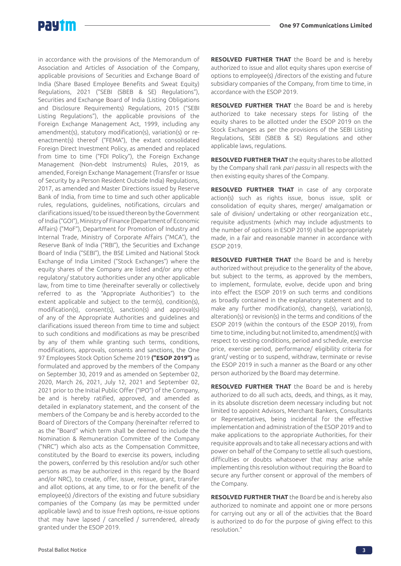

in accordance with the provisions of the Memorandum of Association and Articles of Association of the Company, applicable provisions of Securities and Exchange Board of India (Share Based Employee Benefits and Sweat Equity) Regulations, 2021 ("SEBI (SBEB & SE) Regulations"), Securities and Exchange Board of India (Listing Obligations and Disclosure Requirements) Regulations, 2015 ("SEBI Listing Regulations"), the applicable provisions of the Foreign Exchange Management Act, 1999, including any amendment(s), statutory modification(s), variation(s) or reenactment(s) thereof ("FEMA"), the extant consolidated Foreign Direct Investment Policy, as amended and replaced from time to time ("FDI Policy"), the Foreign Exchange Management (Non-debt Instruments) Rules, 2019, as amended, Foreign Exchange Management (Transfer or Issue of Security by a Person Resident Outside India) Regulations, 2017, as amended and Master Directions issued by Reserve Bank of India, from time to time and such other applicable rules, regulations, guidelines, notifications, circulars and clarifications issued/ to be issued thereon by the Government of India ("GOI"), Ministry of Finance (Department of Economic Affairs) ("MoF"), Department for Promotion of Industry and Internal Trade, Ministry of Corporate Affairs ("MCA"), the Reserve Bank of India ("RBI"), the Securities and Exchange Board of India ("SEBI"), the BSE Limited and National Stock Exchange of India Limited ("Stock Exchanges") where the equity shares of the Company are listed and/or any other regulatory/ statutory authorities under any other applicable law, from time to time (hereinafter severally or collectively referred to as the "Appropriate Authorities") to the extent applicable and subject to the term(s), condition(s), modification(s), consent(s), sanction(s) and approval(s) of any of the Appropriate Authorities and guidelines and clarifications issued thereon from time to time and subject to such conditions and modifications as may be prescribed by any of them while granting such terms, conditions, modifications, approvals, consents and sanctions, the One 97 Employees Stock Option Scheme 2019 **("ESOP 2019")** as formulated and approved by the members of the Company on September 30, 2019 and as amended on September 02, 2020, March 26, 2021, July 12, 2021 and September 02, 2021 prior to the Initial Public Offer ("IPO") of the Company, be and is hereby ratified, approved, and amended as detailed in explanatory statement, and the consent of the members of the Company be and is hereby accorded to the Board of Directors of the Company (hereinafter referred to as the "Board" which term shall be deemed to include the Nomination & Remuneration Committee of the Company ("NRC") which also acts as the Compensation Committee, constituted by the Board to exercise its powers, including the powers, conferred by this resolution and/or such other persons as may be authorized in this regard by the Board and/or NRC), to create, offer, issue, reissue, grant, transfer and allot options, at any time, to or for the benefit of the employee(s) /directors of the existing and future subsidiary companies of the Company (as may be permitted under applicable laws) and to issue fresh options, re-issue options that may have lapsed / cancelled / surrendered, already granted under the ESOP 2019.

**RESOLVED FURTHER THAT** the Board be and is hereby authorized to issue and allot equity shares upon exercise of options to employee(s) /directors of the existing and future subsidiary companies of the Company, from time to time, in accordance with the ESOP 2019.

**RESOLVED FURTHER THAT** the Board be and is hereby authorized to take necessary steps for listing of the equity shares to be allotted under the ESOP 2019 on the Stock Exchanges as per the provisions of the SEBI Listing Regulations, SEBI (SBEB & SE) Regulations and other applicable laws, regulations.

**RESOLVED FURTHER THAT** the equity shares to be allotted by the Company shall rank pari passu in all respects with the then existing equity shares of the Company.

**RESOLVED FURTHER THAT** in case of any corporate action(s) such as rights issue, bonus issue, split or consolidation of equity shares, merger/ amalgamation or sale of division/ undertaking or other reorganization etc., requisite adjustments (which may include adjustments to the number of options in ESOP 2019) shall be appropriately made, in a fair and reasonable manner in accordance with ESOP 2019.

**RESOLVED FURTHER THAT** the Board be and is hereby authorized without prejudice to the generality of the above, but subject to the terms, as approved by the members, to implement, formulate, evolve, decide upon and bring into effect the ESOP 2019 on such terms and conditions as broadly contained in the explanatory statement and to make any further modification(s), change(s), variation(s), alteration(s) or revision(s) in the terms and conditions of the ESOP 2019 (within the contours of the ESOP 2019), from time to time, including but not limited to, amendment(s) with respect to vesting conditions, period and schedule, exercise price, exercise period, performance/ eligibility criteria for grant/ vesting or to suspend, withdraw, terminate or revise the ESOP 2019 in such a manner as the Board or any other person authorized by the Board may determine.

**RESOLVED FURTHER THAT** the Board be and is hereby authorized to do all such acts, deeds, and things, as it may, in its absolute discretion deem necessary including but not limited to appoint Advisors, Merchant Bankers, Consultants or Representatives, being incidental for the effective implementation and administration of the ESOP 2019 and to make applications to the appropriate Authorities, for their requisite approvals and to take all necessary actions and with power on behalf of the Company to settle all such questions, difficulties or doubts whatsoever that may arise while implementing this resolution without requiring the Board to secure any further consent or approval of the members of the Company.

**RESOLVED FURTHER THAT** the Board be and is hereby also authorized to nominate and appoint one or more persons for carrying out any or all of the activities that the Board is authorized to do for the purpose of giving effect to this resolution."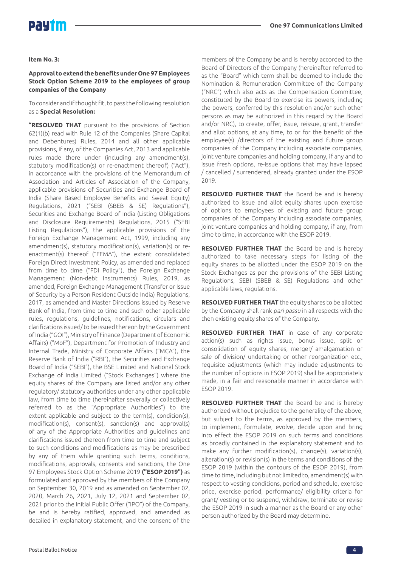

### **Item No. 3:**

### **Approval to extend the benefits under One 97 Employees Stock Option Scheme 2019 to the employees of group companies of the Company**

To consider and if thought fit, to pass the following resolution as a **Special Resolution:**

**"RESOLVED THAT** pursuant to the provisions of Section 62(1)(b) read with Rule 12 of the Companies (Share Capital and Debentures) Rules, 2014 and all other applicable provisions, if any, of the Companies Act, 2013 and applicable rules made there under (including any amendment(s), statutory modification(s) or re-enactment thereof) ("Act"), in accordance with the provisions of the Memorandum of Association and Articles of Association of the Company, applicable provisions of Securities and Exchange Board of India (Share Based Employee Benefits and Sweat Equity) Regulations, 2021 ("SEBI (SBEB & SE) Regulations"), Securities and Exchange Board of India (Listing Obligations and Disclosure Requirements) Regulations, 2015 ("SEBI Listing Regulations"), the applicable provisions of the Foreign Exchange Management Act, 1999, including any amendment(s), statutory modification(s), variation(s) or reenactment(s) thereof ("FEMA"), the extant consolidated Foreign Direct Investment Policy, as amended and replaced from time to time ("FDI Policy"), the Foreign Exchange Management (Non-debt Instruments) Rules, 2019, as amended, Foreign Exchange Management (Transfer or Issue of Security by a Person Resident Outside India) Regulations, 2017, as amended and Master Directions issued by Reserve Bank of India, from time to time and such other applicable rules, regulations, guidelines, notifications, circulars and clarifications issued/ to be issued thereon by the Government of India ("GOI"), Ministry of Finance (Department of Economic Affairs) ("MoF"), Department for Promotion of Industry and Internal Trade, Ministry of Corporate Affairs ("MCA"), the Reserve Bank of India ("RBI"), the Securities and Exchange Board of India ("SEBI"), the BSE Limited and National Stock Exchange of India Limited ("Stock Exchanges") where the equity shares of the Company are listed and/or any other regulatory/ statutory authorities under any other applicable law, from time to time (hereinafter severally or collectively referred to as the "Appropriate Authorities") to the extent applicable and subject to the term(s), condition(s), modification(s), consent(s), sanction(s) and approval(s) of any of the Appropriate Authorities and guidelines and clarifications issued thereon from time to time and subject to such conditions and modifications as may be prescribed by any of them while granting such terms, conditions, modifications, approvals, consents and sanctions, the One 97 Employees Stock Option Scheme 2019 **("ESOP 2019")** as formulated and approved by the members of the Company on September 30, 2019 and as amended on September 02, 2020, March 26, 2021, July 12, 2021 and September 02, 2021 prior to the Initial Public Offer ("IPO") of the Company, be and is hereby ratified, approved, and amended as detailed in explanatory statement, and the consent of the

members of the Company be and is hereby accorded to the Board of Directors of the Company (hereinafter referred to as the "Board" which term shall be deemed to include the Nomination & Remuneration Committee of the Company ("NRC") which also acts as the Compensation Committee, constituted by the Board to exercise its powers, including the powers, conferred by this resolution and/or such other persons as may be authorized in this regard by the Board and/or NRC), to create, offer, issue, reissue, grant, transfer and allot options, at any time, to or for the benefit of the employee(s) /directors of the existing and future group companies of the Company including associate companies, joint venture companies and holding company, if any and to issue fresh options, re-issue options that may have lapsed / cancelled / surrendered, already granted under the ESOP 2019.

**RESOLVED FURTHER THAT** the Board be and is hereby authorized to issue and allot equity shares upon exercise of options to employees of existing and future group companies of the Company including associate companies, joint venture companies and holding company, if any, from time to time, in accordance with the ESOP 2019.

**RESOLVED FURTHER THAT** the Board be and is hereby authorized to take necessary steps for listing of the equity shares to be allotted under the ESOP 2019 on the Stock Exchanges as per the provisions of the SEBI Listing Regulations, SEBI (SBEB & SE) Regulations and other applicable laws, regulations.

**RESOLVED FURTHER THAT** the equity shares to be allotted by the Company shall rank *pari passu* in all respects with the then existing equity shares of the Company.

**RESOLVED FURTHER THAT** in case of any corporate action(s) such as rights issue, bonus issue, split or consolidation of equity shares, merger/ amalgamation or sale of division/ undertaking or other reorganization etc., requisite adjustments (which may include adjustments to the number of options in ESOP 2019) shall be appropriately made, in a fair and reasonable manner in accordance with ESOP 2019.

**RESOLVED FURTHER THAT** the Board be and is hereby authorized without prejudice to the generality of the above, but subject to the terms, as approved by the members, to implement, formulate, evolve, decide upon and bring into effect the ESOP 2019 on such terms and conditions as broadly contained in the explanatory statement and to make any further modification(s), change(s), variation(s), alteration(s) or revision(s) in the terms and conditions of the ESOP 2019 (within the contours of the ESOP 2019), from time to time, including but not limited to, amendment(s) with respect to vesting conditions, period and schedule, exercise price, exercise period, performance/ eligibility criteria for grant/ vesting or to suspend, withdraw, terminate or revise the ESOP 2019 in such a manner as the Board or any other person authorized by the Board may determine.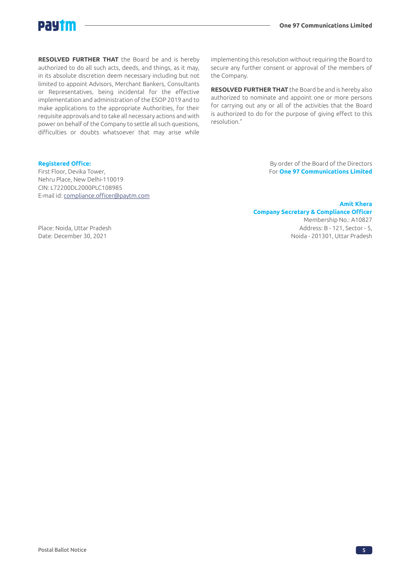

**RESOLVED FURTHER THAT** the Board be and is hereby authorized to do all such acts, deeds, and things, as it may, in its absolute discretion deem necessary including but not limited to appoint Advisors, Merchant Bankers, Consultants or Representatives, being incidental for the effective implementation and administration of the ESOP 2019 and to make applications to the appropriate Authorities, for their requisite approvals and to take all necessary actions and with power on behalf of the Company to settle all such questions, difficulties or doubts whatsoever that may arise while

implementing this resolution without requiring the Board to secure any further consent or approval of the members of the Company.

**RESOLVED FURTHER THAT** the Board be and is hereby also authorized to nominate and appoint one or more persons for carrying out any or all of the activities that the Board is authorized to do for the purpose of giving effect to this resolution."

First Floor, Devika Tower, For **One 97 Communications Limited** Nehru Place, New Delhi-110019 CIN: L72200DL2000PLC108985 E-mail id: compliance.officer@paytm.com

**Registered Office: Registered Office: By order of the Board of the Directors** 

### **Amit Khera Company Secretary & Compliance Officer**  Membership No.: A10827 Place: Noida, Uttar Pradesh Address: B - 121, Sector - 5,

Date: December 30, 2021 Noida - 201301, Uttar Pradesh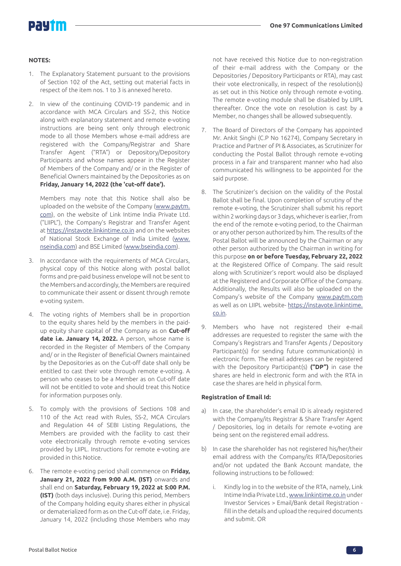# DAUT

### **NOTES:**

- 1. The Explanatory Statement pursuant to the provisions of Section 102 of the Act, setting out material facts in respect of the item nos. 1 to 3 is annexed hereto.
- 2. In view of the continuing COVID-19 pandemic and in accordance with MCA Circulars and SS-2, this Notice along with explanatory statement and remote e-voting instructions are being sent only through electronic mode to all those Members whose e-mail address are registered with the Company/Registrar and Share Transfer Agent ("RTA") or Depository/Depository Participants and whose names appear in the Register of Members of the Company and/ or in the Register of Beneficial Owners maintained by the Depositories as on **Friday, January 14, 2022 (the 'cut-off date').**

Members may note that this Notice shall also be uploaded on the website of the Company (www.paytm. com), on the website of Link Intime India Private Ltd. ("LIIPL"), the Company's Registrar and Transfer Agent at https://instavote.linkintime.co.in and on the websites of National Stock Exchange of India Limited (www. nseindia.com) and BSE Limited (www.bseindia.com).

- 3. In accordance with the requirements of MCA Circulars, physical copy of this Notice along with postal ballot forms and pre-paid business envelope will not be sent to the Members and accordingly, the Members are required to communicate their assent or dissent through remote e-voting system.
- 4. The voting rights of Members shall be in proportion to the equity shares held by the members in the paidup equity share capital of the Company as on **Cut-off**  date i.e. January 14, 2022. A person, whose name is recorded in the Register of Members of the Company and/ or in the Register of Beneficial Owners maintained by the Depositories as on the Cut-off date shall only be entitled to cast their vote through remote e-voting. A person who ceases to be a Member as on Cut-off date will not be entitled to vote and should treat this Notice for information purposes only.
- 5. To comply with the provisions of Sections 108 and 110 of the Act read with Rules, SS-2, MCA Circulars and Regulation 44 of SEBI Listing Regulations, the Members are provided with the facility to cast their vote electronically through remote e-voting services provided by LIIPL. Instructions for remote e-voting are provided in this Notice.
- 6. The remote e-voting period shall commence on **Friday, January 21, 2022 from 9:00 A.M. (IST)** onwards and shall end on **Saturday, February 19, 2022 at 5:00 P.M. (IST)** (both days inclusive). During this period, Members of the Company holding equity shares either in physical or dematerialized form as on the Cut-off date, i.e. Friday, January 14, 2022 (including those Members who may

not have received this Notice due to non-registration of their e-mail address with the Company or the Depositories / Depository Participants or RTA), may cast their vote electronically, in respect of the resolution(s) as set out in this Notice only through remote e-voting. The remote e-voting module shall be disabled by LIIPL thereafter. Once the vote on resolution is cast by a Member, no changes shall be allowed subsequently.

- 7. The Board of Directors of the Company has appointed Mr. Ankit Singhi (C.P No 16274), Company Secretary in Practice and Partner of PI & Associates, as Scrutinizer for conducting the Postal Ballot through remote e-voting process in a fair and transparent manner who had also communicated his willingness to be appointed for the said purpose.
- 8. The Scrutinizer's decision on the validity of the Postal Ballot shall be final. Upon completion of scrutiny of the remote e-voting, the Scrutinizer shall submit his report within 2 working days or 3 days, whichever is earlier, from the end of the remote e-voting period, to the Chairman or any other person authorized by him. The results of the Postal Ballot will be announced by the Chairman or any other person authorized by the Chairman in writing for this purpose **on or before Tuesday, February 22, 2022** at the Registered Office of Company. The said result along with Scrutinizer's report would also be displayed at the Registered and Corporate Office of the Company. Additionally, the Results will also be uploaded on the Company's website of the Company www.paytm.com as well as on LIIPL website- https://instavote.linkintime. co.in.
- 9. Members who have not registered their e-mail addresses are requested to register the same with the Company's Registrars and Transfer Agents / Depository Participant(s) for sending future communication(s) in electronic form. The email addresses can be registered with the Depository Participant(s) **("DP")** in case the shares are held in electronic form and with the RTA in case the shares are held in physical form.

### **Registration of Email Id:**

- a) In case, the shareholder's email ID is already registered with the Company/its Registrar & Share Transfer Agent / Depositories, log in details for remote e-voting are being sent on the registered email address.
- b) In case the shareholder has not registered his/her/their email address with the Company/its RTA/Depositories and/or not updated the Bank Account mandate, the following instructions to be followed:
	- i. Kindly log in to the website of the RTA, namely, Link Intime India Private Ltd., www.linkintime.co.in under Investor Services > Email/Bank detail Registration fill in the details and upload the required documents and submit. OR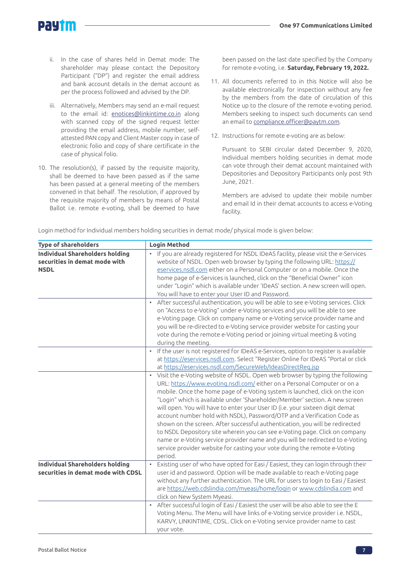

- ii. In the case of shares held in Demat mode: The shareholder may please contact the Depository Participant ("DP") and register the email address and bank account details in the demat account as per the process followed and advised by the DP.
- iii. Alternatively, Members may send an e-mail request to the email id: enotices@linkintime.co.in along with scanned copy of the signed request letter providing the email address, mobile number, selfattested PAN copy and Client Master copy in case of electronic folio and copy of share certificate in the case of physical folio.
- 10. The resolution(s), if passed by the requisite majority, shall be deemed to have been passed as if the same has been passed at a general meeting of the members convened in that behalf. The resolution, if approved by the requisite majority of members by means of Postal Ballot i.e. remote e-voting, shall be deemed to have

been passed on the last date specified by the Company for remote e-voting, i.e. **Saturday, February 19, 2022.**

- 11. All documents referred to in this Notice will also be available electronically for inspection without any fee by the members from the date of circulation of this Notice up to the closure of the remote e-voting period. Members seeking to inspect such documents can send an email to compliance.officer@paytm.com.
- 12. Instructions for remote e-voting are as below:

Pursuant to SEBI circular dated December 9, 2020, Individual members holding securities in demat mode can vote through their demat account maintained with Depositories and Depository Participants only post 9th June, 2021.

Members are advised to update their mobile number and email Id in their demat accounts to access e-Voting facility.

| Login method for Individual members holding securities in demat mode/ physical mode is given below: |  |
|-----------------------------------------------------------------------------------------------------|--|
|                                                                                                     |  |
|                                                                                                     |  |
|                                                                                                     |  |

| <b>Type of shareholders</b>                                                            | <b>Login Method</b>                                                                                                                                                                                                                                                                                                                                                                                                                                                                                                                                                                                                                                                                                                                                                                                                         |  |
|----------------------------------------------------------------------------------------|-----------------------------------------------------------------------------------------------------------------------------------------------------------------------------------------------------------------------------------------------------------------------------------------------------------------------------------------------------------------------------------------------------------------------------------------------------------------------------------------------------------------------------------------------------------------------------------------------------------------------------------------------------------------------------------------------------------------------------------------------------------------------------------------------------------------------------|--|
| <b>Individual Shareholders holding</b><br>securities in demat mode with<br><b>NSDL</b> | If you are already registered for NSDL IDeAS facility, please visit the e-Services<br>$\bullet$<br>website of NSDL. Open web browser by typing the following URL: https://<br>eservices.nsdl.com either on a Personal Computer or on a mobile. Once the<br>home page of e-Services is launched, click on the "Beneficial Owner" icon<br>under "Login" which is available under 'IDeAS' section. A new screen will open.<br>You will have to enter your User ID and Password.                                                                                                                                                                                                                                                                                                                                                |  |
|                                                                                        | After successful authentication, you will be able to see e-Voting services. Click<br>$\bullet$<br>on "Access to e-Voting" under e-Voting services and you will be able to see<br>e-Voting page. Click on company name or e-Voting service provider name and<br>you will be re-directed to e-Voting service provider website for casting your<br>vote during the remote e-Voting period or joining virtual meeting & voting<br>during the meeting.                                                                                                                                                                                                                                                                                                                                                                           |  |
|                                                                                        | • If the user is not registered for IDeAS e-Services, option to register is available<br>at https://eservices.nsdl.com. Select "Register Online for IDeAS "Portal or click<br>at https://eservices.nsdl.com/SecureWeb/IdeasDirectReg.jsp                                                                                                                                                                                                                                                                                                                                                                                                                                                                                                                                                                                    |  |
|                                                                                        | Visit the e-Voting website of NSDL. Open web browser by typing the following<br>URL: https://www.evoting.nsdl.com/ either on a Personal Computer or on a<br>mobile. Once the home page of e-Voting system is launched, click on the icon<br>"Login" which is available under 'Shareholder/Member' section. A new screen<br>will open. You will have to enter your User ID (i.e. your sixteen digit demat<br>account number hold with NSDL), Password/OTP and a Verification Code as<br>shown on the screen. After successful authentication, you will be redirected<br>to NSDL Depository site wherein you can see e-Voting page. Click on company<br>name or e-Voting service provider name and you will be redirected to e-Voting<br>service provider website for casting your vote during the remote e-Voting<br>period. |  |
| <b>Individual Shareholders holding</b><br>securities in demat mode with CDSL           | Existing user of who have opted for Easi / Easiest, they can login through their<br>$\bullet$<br>user id and password. Option will be made available to reach e-Voting page<br>without any further authentication. The URL for users to login to Easi / Easiest<br>are https://web.cdslindia.com/myeasi/home/login or www.cdslindia.com and<br>click on New System Myeasi.                                                                                                                                                                                                                                                                                                                                                                                                                                                  |  |
|                                                                                        | • After successful login of Easi / Easiest the user will be also able to see the E<br>Voting Menu. The Menu will have links of e-Voting service provider i.e. NSDL,<br>KARVY, LINKINTIME, CDSL. Click on e-Voting service provider name to cast<br>your vote.                                                                                                                                                                                                                                                                                                                                                                                                                                                                                                                                                               |  |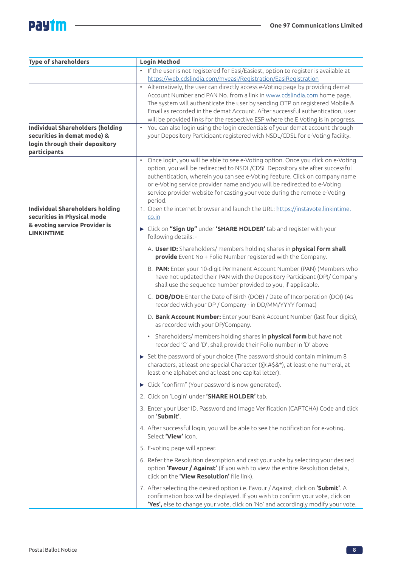# **Pay im**

 $\overline{a}$ 

| <b>Type of shareholders</b>                                                                                              | <b>Login Method</b>                                                                                                                                                                                                                                                                                                                                                                                                                                                                                                                                                                       |
|--------------------------------------------------------------------------------------------------------------------------|-------------------------------------------------------------------------------------------------------------------------------------------------------------------------------------------------------------------------------------------------------------------------------------------------------------------------------------------------------------------------------------------------------------------------------------------------------------------------------------------------------------------------------------------------------------------------------------------|
|                                                                                                                          | If the user is not registered for Easi/Easiest, option to register is available at<br>$\bullet$<br>https://web.cdslindia.com/myeasi/Registration/EasiRegistration                                                                                                                                                                                                                                                                                                                                                                                                                         |
| <b>Individual Shareholders (holding</b><br>securities in demat mode) &<br>login through their depository<br>participants | Alternatively, the user can directly access e-Voting page by providing demat<br>$\bullet$<br>Account Number and PAN No. from a link in www.cdslindia.com home page.<br>The system will authenticate the user by sending OTP on registered Mobile &<br>Email as recorded in the demat Account. After successful authentication, user<br>will be provided links for the respective ESP where the E Voting is in progress.<br>• You can also login using the login credentials of your demat account through<br>your Depository Participant registered with NSDL/CDSL for e-Voting facility. |
|                                                                                                                          | • Once login, you will be able to see e-Voting option. Once you click on e-Voting<br>option, you will be redirected to NSDL/CDSL Depository site after successful<br>authentication, wherein you can see e-Voting feature. Click on company name<br>or e-Voting service provider name and you will be redirected to e-Voting<br>service provider website for casting your vote during the remote e-Voting<br>period.                                                                                                                                                                      |
| <b>Individual Shareholders holding</b><br>securities in Physical mode<br>& evoting service Provider is                   | 1. Open the internet browser and launch the URL: https://instavote.linkintime.<br>co.in                                                                                                                                                                                                                                                                                                                                                                                                                                                                                                   |
| <b>LINKINTIME</b>                                                                                                        | Click on "Sign Up" under 'SHARE HOLDER' tab and register with your<br>following details: -                                                                                                                                                                                                                                                                                                                                                                                                                                                                                                |
|                                                                                                                          | A. User ID: Shareholders/ members holding shares in physical form shall<br><b>provide</b> Event No + Folio Number registered with the Company.                                                                                                                                                                                                                                                                                                                                                                                                                                            |
|                                                                                                                          | B. PAN: Enter your 10-digit Permanent Account Number (PAN) (Members who<br>have not updated their PAN with the Depository Participant (DP)/ Company<br>shall use the sequence number provided to you, if applicable.                                                                                                                                                                                                                                                                                                                                                                      |
|                                                                                                                          | C. DOB/DOI: Enter the Date of Birth (DOB) / Date of Incorporation (DOI) (As<br>recorded with your DP / Company - in DD/MM/YYYY format)                                                                                                                                                                                                                                                                                                                                                                                                                                                    |
|                                                                                                                          | D. Bank Account Number: Enter your Bank Account Number (last four digits),<br>as recorded with your DP/Company.                                                                                                                                                                                                                                                                                                                                                                                                                                                                           |
|                                                                                                                          | Shareholders/ members holding shares in <b>physical form</b> but have not<br>recorded 'C' and 'D', shall provide their Folio number in 'D' above                                                                                                                                                                                                                                                                                                                                                                                                                                          |
|                                                                                                                          | Set the password of your choice (The password should contain minimum 8<br>characters, at least one special Character (@!#\$&*), at least one numeral, at<br>least one alphabet and at least one capital letter).                                                                                                                                                                                                                                                                                                                                                                          |
|                                                                                                                          | Click "confirm" (Your password is now generated).                                                                                                                                                                                                                                                                                                                                                                                                                                                                                                                                         |
|                                                                                                                          | 2. Click on 'Login' under 'SHARE HOLDER' tab.                                                                                                                                                                                                                                                                                                                                                                                                                                                                                                                                             |
|                                                                                                                          | 3. Enter your User ID, Password and Image Verification (CAPTCHA) Code and click<br>on 'Submit'.                                                                                                                                                                                                                                                                                                                                                                                                                                                                                           |
|                                                                                                                          | 4. After successful login, you will be able to see the notification for e-voting.<br>Select 'View' icon.                                                                                                                                                                                                                                                                                                                                                                                                                                                                                  |
|                                                                                                                          | 5. E-voting page will appear.                                                                                                                                                                                                                                                                                                                                                                                                                                                                                                                                                             |
|                                                                                                                          | 6. Refer the Resolution description and cast your vote by selecting your desired<br>option 'Favour / Against' (If you wish to view the entire Resolution details,<br>click on the 'View Resolution' file link).                                                                                                                                                                                                                                                                                                                                                                           |
|                                                                                                                          | 7. After selecting the desired option i.e. Favour / Against, click on 'Submit'. A<br>confirmation box will be displayed. If you wish to confirm your vote, click on<br>'Yes', else to change your vote, click on 'No' and accordingly modify your vote.                                                                                                                                                                                                                                                                                                                                   |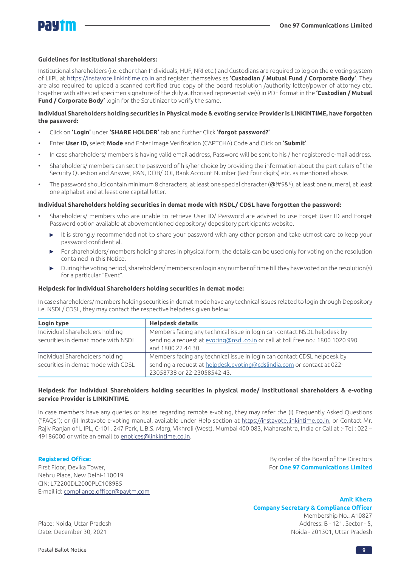

### **Guidelines for Institutional shareholders:**

Institutional shareholders (i.e. other than Individuals, HUF, NRI etc.) and Custodians are required to log on the e-voting system of LIIPL at https://instavote.linkintime.co.in and register themselves as **'Custodian / Mutual Fund / Corporate Body'**. They are also required to upload a scanned certified true copy of the board resolution /authority letter/power of attorney etc. together with attested specimen signature of the duly authorised representative(s) in PDF format in the **'Custodian / Mutual Fund / Corporate Body'** login for the Scrutinizer to verify the same.

### **Individual Shareholders holding securities in Physical mode & evoting service Provider is LINKINTIME, have forgotten the password:**

- Click on **'Login'** under **'SHARE HOLDER'** tab and further Click **'forgot password?'**
- Enter **User ID,** select **Mode** and Enter Image Verification (CAPTCHA) Code and Click on **'Submit'**.
- In case shareholders/ members is having valid email address, Password will be sent to his / her registered e-mail address.
- Shareholders/ members can set the password of his/her choice by providing the information about the particulars of the Security Question and Answer, PAN, DOB/DOI, Bank Account Number (last four digits) etc. as mentioned above.
- The password should contain minimum 8 characters, at least one special character (@!#\$&\*), at least one numeral, at least one alphabet and at least one capital letter.

### **Individual Shareholders holding securities in demat mode with NSDL/ CDSL have forgotten the password:**

- Shareholders/ members who are unable to retrieve User ID/ Password are advised to use Forget User ID and Forget Password option available at abovementioned depository/ depository participants website.
	- It is strongly recommended not to share your password with any other person and take utmost care to keep your b. password confidential.
	- For shareholders/ members holding shares in physical form, the details can be used only for voting on the resolution contained in this Notice.
	- During the voting period, shareholders/ members can login any number of time till they have voted on the resolution(s) for a particular "Event".

### **Helpdesk for Individual Shareholders holding securities in demat mode:**

In case shareholders/ members holding securities in demat mode have any technical issues related to login through Depository i.e. NSDL/ CDSL, they may contact the respective helpdesk given below:

| Login type                                                            | <b>Helpdesk details</b>                                                                                                                                                           |
|-----------------------------------------------------------------------|-----------------------------------------------------------------------------------------------------------------------------------------------------------------------------------|
| Individual Shareholders holding<br>securities in demat mode with NSDL | Members facing any technical issue in login can contact NSDL helpdesk by<br>sending a request at evoting@nsdl.co.in or call at toll free no.: 1800 1020 990<br>and 1800 22 44 30  |
| Individual Shareholders holding<br>securities in demat mode with CDSL | Members facing any technical issue in login can contact CDSL helpdesk by<br>sending a request at helpdesk.evoting@cdslindia.com or contact at 022-<br>23058738 or 22-23058542-43. |

### **Helpdesk for Individual Shareholders holding securities in physical mode/ Institutional shareholders & e-voting service Provider is LINKINTIME.**

In case members have any queries or issues regarding remote e-voting, they may refer the (i) Frequently Asked Questions ("FAQs"); or (ii) Instavote e-voting manual, available under Help section at https://instavote.linkintime.co.in, or Contact Mr. Rajiv Ranjan of LIIPL, C-101, 247 Park, L.B.S. Marg, Vikhroli (West), Mumbai 400 083, Maharashtra, India or Call at :- Tel : 022 – 49186000 or write an email to enotices@linkintime.co.in.

First Floor, Devika Tower, For **One 97 Communications Limited** Nehru Place, New Delhi-110019 CIN: L72200DL2000PLC108985 E-mail id: compliance.officer@paytm.com

**Registered Office: By order of the Board of the Directors** 

**Amit Khera** 

**Company Secretary & Compliance Officer** 

Membership No.: A10827 Place: Noida, Uttar Pradesh Address: B - 121, Sector - 5, Date: December 30, 2021 Noida - 201301, Uttar Pradesh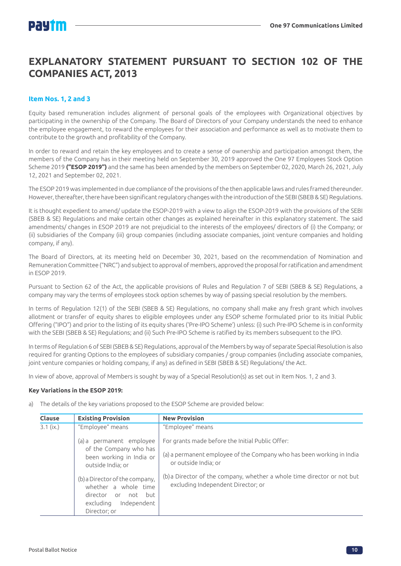## **EXPLANATORY STATEMENT PURSUANT TO SECTION 102 OF THE COMPANIES ACT, 2013**

### **Item Nos. 1, 2 and 3**

Equity based remuneration includes alignment of personal goals of the employees with Organizational objectives by participating in the ownership of the Company. The Board of Directors of your Company understands the need to enhance the employee engagement, to reward the employees for their association and performance as well as to motivate them to contribute to the growth and profitability of the Company.

In order to reward and retain the key employees and to create a sense of ownership and participation amongst them, the members of the Company has in their meeting held on September 30, 2019 approved the One 97 Employees Stock Option Scheme 2019 **("ESOP 2019")** and the same has been amended by the members on September 02, 2020, March 26, 2021, July 12, 2021 and September 02, 2021.

The ESOP 2019 was implemented in due compliance of the provisions of the then applicable laws and rules framed thereunder. However, thereafter, there have been significant regulatory changes with the introduction of the SEBI (SBEB & SE) Regulations.

It is thought expedient to amend/ update the ESOP-2019 with a view to align the ESOP-2019 with the provisions of the SEBI (SBEB & SE) Regulations and make certain other changes as explained hereinafter in this explanatory statement. The said amendments/ changes in ESOP 2019 are not prejudicial to the interests of the employees/ directors of (i) the Company; or (ii) subsidiaries of the Company (iii) group companies (including associate companies, joint venture companies and holding company, if any).

The Board of Directors, at its meeting held on December 30, 2021, based on the recommendation of Nomination and Remuneration Committee ("NRC") and subject to approval of members, approved the proposal for ratification and amendment in ESOP 2019.

Pursuant to Section 62 of the Act, the applicable provisions of Rules and Regulation 7 of SEBI (SBEB & SE) Regulations, a company may vary the terms of employees stock option schemes by way of passing special resolution by the members.

In terms of Regulation 12(1) of the SEBI (SBEB & SE) Regulations, no company shall make any fresh grant which involves allotment or transfer of equity shares to eligible employees under any ESOP scheme formulated prior to its Initial Public Offering ("IPO") and prior to the listing of its equity shares ('Pre-IPO Scheme') unless: (i) such Pre-IPO Scheme is in conformity with the SEBI (SBEB & SE) Regulations; and (ii) Such Pre-IPO Scheme is ratified by its members subsequent to the IPO.

In terms of Regulation 6 of SEBI (SBEB & SE) Regulations, approval of the Members by way of separate Special Resolution is also required for granting Options to the employees of subsidiary companies / group companies (including associate companies, joint venture companies or holding company, if any) as defined in SEBI (SBEB & SE) Regulations/ the Act.

In view of above, approval of Members is sought by way of a Special Resolution(s) as set out in Item Nos. 1, 2 and 3.

### **Key Variations in the ESOP 2019:**

a) The details of the key variations proposed to the ESOP Scheme are provided below:

| Clause      | <b>Existing Provision</b>                                                                                                 | <b>New Provision</b>                                                                                          |
|-------------|---------------------------------------------------------------------------------------------------------------------------|---------------------------------------------------------------------------------------------------------------|
| $3.1$ (ix.) | "Employee" means                                                                                                          | "Employee" means                                                                                              |
|             | (a) a permanent employee<br>of the Company who has                                                                        | For grants made before the Initial Public Offer:                                                              |
|             | been working in India or<br>outside India; or                                                                             | (a) a permanent employee of the Company who has been working in India<br>or outside India; or                 |
|             | (b) a Director of the company,<br>whether a whole time<br>director or not but<br>Independent<br>excluding<br>Director; or | (b) a Director of the company, whether a whole time director or not but<br>excluding Independent Director; or |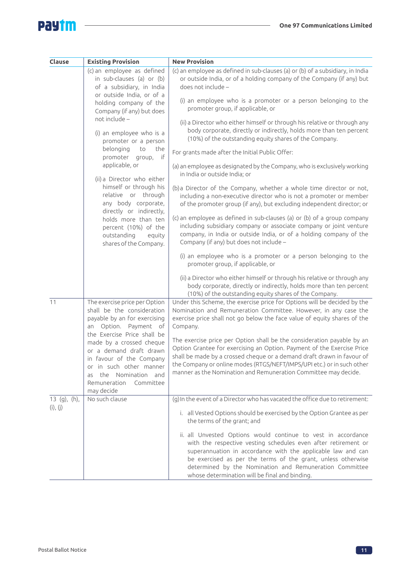$\overline{\phantom{0}}$ 

# **Paytm**

| Clause         | <b>Existing Provision</b>                                                                                                                                                                                        | <b>New Provision</b>                                                                                                                                                                                                                                                                                                                                                         |
|----------------|------------------------------------------------------------------------------------------------------------------------------------------------------------------------------------------------------------------|------------------------------------------------------------------------------------------------------------------------------------------------------------------------------------------------------------------------------------------------------------------------------------------------------------------------------------------------------------------------------|
|                | (c) an employee as defined<br>in sub-clauses (a) or (b)<br>of a subsidiary, in India                                                                                                                             | (c) an employee as defined in sub-clauses (a) or (b) of a subsidiary, in India<br>or outside India, or of a holding company of the Company (if any) but<br>does not include -                                                                                                                                                                                                |
|                | or outside India, or of a<br>holding company of the<br>Company (if any) but does                                                                                                                                 | (i) an employee who is a promoter or a person belonging to the<br>promoter group, if applicable, or                                                                                                                                                                                                                                                                          |
|                | not include -<br>(i) an employee who is a<br>promoter or a person                                                                                                                                                | (ii) a Director who either himself or through his relative or through any<br>body corporate, directly or indirectly, holds more than ten percent<br>(10%) of the outstanding equity shares of the Company.                                                                                                                                                                   |
|                | belonging<br>the<br>to<br>if<br>promoter<br>дгоир,                                                                                                                                                               | For grants made after the Initial Public Offer:                                                                                                                                                                                                                                                                                                                              |
|                | applicable, or<br>(ii) a Director who either                                                                                                                                                                     | (a) an employee as designated by the Company, who is exclusively working<br>in India or outside India; or                                                                                                                                                                                                                                                                    |
|                | himself or through his<br>relative or through<br>any body corporate,<br>directly or indirectly,                                                                                                                  | (b) a Director of the Company, whether a whole time director or not,<br>including a non-executive director who is not a promoter or member<br>of the promoter group (if any), but excluding independent director; or                                                                                                                                                         |
|                | holds more than ten<br>percent (10%) of the<br>outstanding<br>equity<br>shares of the Company.                                                                                                                   | (c) an employee as defined in sub-clauses (a) or (b) of a group company<br>including subsidiary company or associate company or joint venture<br>company, in India or outside India, or of a holding company of the<br>Company (if any) but does not include -                                                                                                               |
|                |                                                                                                                                                                                                                  | (i) an employee who is a promoter or a person belonging to the<br>promoter group, if applicable, or                                                                                                                                                                                                                                                                          |
|                |                                                                                                                                                                                                                  | (ii) a Director who either himself or through his relative or through any<br>body corporate, directly or indirectly, holds more than ten percent<br>(10%) of the outstanding equity shares of the Company.                                                                                                                                                                   |
| 11             | The exercise price per Option<br>shall be the consideration<br>payable by an for exercising<br>an Option. Payment of                                                                                             | Under this Scheme, the exercise price for Options will be decided by the<br>Nomination and Remuneration Committee. However, in any case the<br>exercise price shall not go below the face value of equity shares of the<br>Company.                                                                                                                                          |
|                | the Exercise Price shall be<br>made by a crossed cheque<br>or a demand draft drawn<br>in favour of the Company<br>or in such other manner<br>the Nomination and<br>as<br>Remuneration<br>Committee<br>may decide | The exercise price per Option shall be the consideration payable by an<br>Option Grantee for exercising an Option. Payment of the Exercise Price<br>shall be made by a crossed cheque or a demand draft drawn in favour of<br>the Company or online modes (RTGS/NEFT/IMPS/UPI etc.) or in such other<br>manner as the Nomination and Remuneration Committee may decide.      |
| $13$ (g), (h), | No such clause                                                                                                                                                                                                   | (g) In the event of a Director who has vacated the office due to retirement:                                                                                                                                                                                                                                                                                                 |
| (i), (j)       |                                                                                                                                                                                                                  | i. all Vested Options should be exercised by the Option Grantee as per<br>the terms of the grant; and                                                                                                                                                                                                                                                                        |
|                |                                                                                                                                                                                                                  | ii. all Unvested Options would continue to vest in accordance<br>with the respective vesting schedules even after retirement or<br>superannuation in accordance with the applicable law and can<br>be exercised as per the terms of the grant, unless otherwise<br>determined by the Nomination and Remuneration Committee<br>whose determination will be final and binding. |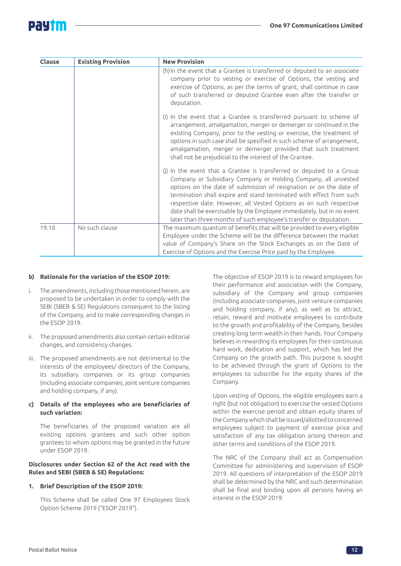# PAUT

| Clause | <b>Existing Provision</b> | <b>New Provision</b>                                                                                                                                                                                                                                                                                                                                                                                                                                                                                      |
|--------|---------------------------|-----------------------------------------------------------------------------------------------------------------------------------------------------------------------------------------------------------------------------------------------------------------------------------------------------------------------------------------------------------------------------------------------------------------------------------------------------------------------------------------------------------|
|        |                           | (h) In the event that a Grantee is transferred or deputed to an associate<br>company prior to vesting or exercise of Options, the vesting and<br>exercise of Options, as per the terms of grant, shall continue in case<br>of such transferred or deputed Grantee even after the transfer or<br>deputation.                                                                                                                                                                                               |
|        |                           | (i) In the event that a Grantee is transferred pursuant to scheme of<br>arrangement, amalgamation, merger or demerger or continued in the<br>existing Company, prior to the vesting or exercise, the treatment of<br>options in such case shall be specified in such scheme of arrangement,<br>amalgamation, merger or demerger provided that such treatment<br>shall not be prejudicial to the interest of the Grantee.                                                                                  |
|        |                           | (j) In the event that a Grantee is transferred or deputed to a Group<br>Company or Subsidiary Company or Holding Company, all unvested<br>options on the date of submission of resignation or on the date of<br>termination shall expire and stand terminated with effect from such<br>respective date. However, all Vested Options as on such respective<br>date shall be exercisable by the Employee immediately, but in no event<br>later than three months of such employee's transfer or deputation. |
| 19.10  | No such clause            | The maximum quantum of benefits that will be provided to every eligible<br>Employee under the Scheme will be the difference between the market<br>value of Company's Share on the Stock Exchanges as on the Date of<br>Exercise of Options and the Exercise Price paid by the Employee.                                                                                                                                                                                                                   |

### **b) Rationale for the variation of the ESOP 2019:**

- i. The amendments, including those mentioned herein, are proposed to be undertaken in order to comply with the SEBI (SBEB & SE) Regulations consequent to the listing of the Company, and to make corresponding changes in the ESOP 2019.
- ii. The proposed amendments also contain certain editorial changes, and consistency changes.
- iii. The proposed amendments are not detrimental to the interests of the employees/ directors of the Company, its subsidiary companies or its group companies (including associate companies, joint venture companies and holding company, if any).

### **c) Details of the employees who are beneficiaries of such variation:**

The beneficiaries of the proposed variation are all existing options grantees and such other option grantees to whom options may be granted in the future under ESOP 2019.

### **Disclosures under Section 62 of the Act read with the Rules and SEBI (SBEB & SE) Regulations:**

### **1. Brief Description of the ESOP 2019:**

This Scheme shall be called One 97 Employees Stock Option Scheme 2019 ("ESOP 2019").

The objective of ESOP 2019 is to reward employees for their performance and association with the Company, subsidiary of the Company and group companies (including associate companies, joint venture companies and holding company, if any), as well as to attract, retain, reward and motivate employees to contribute to the growth and profitability of the Company, besides creating long term wealth in their hands. Your Company believes in rewarding its employees for their continuous hard work, dedication and support, which has led the Company on the growth path. This purpose is sought to be achieved through the grant of Options to the employees to subscribe for the equity shares of the Company.

Upon vesting of Options, the eligible employees earn a right (but not obligation) to exercise the vested Options within the exercise period and obtain equity shares of the Company which shall be issued/allotted to concerned employees subject to payment of exercise price and satisfaction of any tax obligation arising thereon and other terms and conditions of the ESOP 2019.

The NRC of the Company shall act as Compensation Committee for administering and supervision of ESOP 2019. All questions of interpretation of the ESOP 2019 shall be determined by the NRC and such determination shall be final and binding upon all persons having an interest in the ESOP 2019.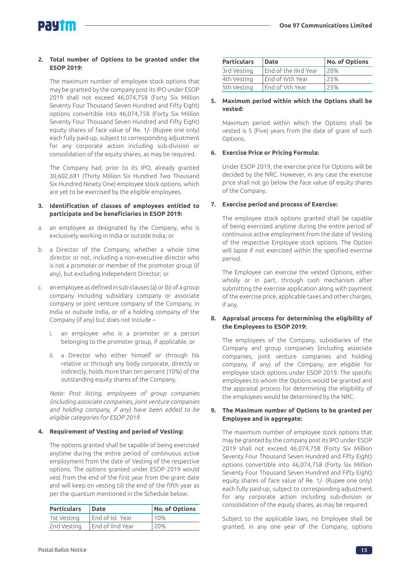### **2. Total number of Options to be granted under the ESOP 2019:**

The maximum number of employee stock options that may be granted by the company post its IPO under ESOP 2019 shall not exceed 46,074,758 (Forty Six Million Seventy Four Thousand Seven Hundred and Fifty Eight) options convertible into 46,074,758 (Forty Six Million Seventy Four Thousand Seven Hundred and Fifty Eight) equity shares of face value of Re. 1/- (Rupee one only) each fully paid-up, subject to corresponding adjustment for any corporate action including sub-division or consolidation of the equity shares, as may be required.

The Company had, prior to its IPO, already granted 30,602,691 (Thirty Million Six Hundred Two Thousand Six Hundred Ninety One) employee stock options, which are yet to be exercised by the eligible employees.

### **3. Identification of classes of employees entitled to participate and be beneficiaries in ESOP 2019:**

- a. an employee as designated by the Company, who is exclusively working in India or outside India; or
- b. a Director of the Company, whether a whole time director or not, including a non-executive director who is not a promoter or member of the promoter group (if any), but excluding Independent Director; or
- c. an employee as defined in sub-clauses (a) or (b) of a group company including subsidiary company or associate company or joint venture company of the Company, in India or outside India, or of a holding company of the Company (if any) but does not include –
	- i. an employee who is a promoter or a person belonging to the promoter group, if applicable, or
	- ii. a Director who either himself or through his relative or through any body corporate, directly or indirectly, holds more than ten percent (10%) of the outstanding equity shares of the Company.

Note: Post listing, employees of group companies (including associate companies, joint venture companies and holding company, if any) have been added to be eligible categories for ESOP 2019.

### **4. Requirement of Vesting and period of Vesting:**

The options granted shall be capable of being exercised anytime during the entire period of continuous active employment from the date of Vesting of the respective options. The options granted under ESOP 2019 would vest from the end of the first year from the grant date and will keep on vesting till the end of the fifth year as per the quantum mentioned in the Schedule below:

| <b>Particulars</b> | Date             | No. of Options |
|--------------------|------------------|----------------|
| 1st Vesting        | End of Ist Year  | 10%            |
| 2nd Vesting        | End of IInd Year | 120%           |

| <b>Particulars</b> | <b>Date</b>           | <b>No. of Options</b> |
|--------------------|-----------------------|-----------------------|
| 3rd Vesting        | End of the IIIrd Year | 20%                   |
| 4th Vesting        | End of IVth Year      | 25%                   |
| 5th Vesting        | End of Vth Year       | 25%                   |

### **5. Maximum period within which the Options shall be vested:**

Maximum period within which the Options shall be vested is 5 (Five) years from the date of grant of such Options.

### **6. Exercise Price or Pricing Formula:**

Under ESOP 2019, the exercise price for Options will be decided by the NRC. However, in any case the exercise price shall not go below the face value of equity shares of the Company.

### **7. Exercise period and process of Exercise:**

The employee stock options granted shall be capable of being exercised anytime during the entire period of continuous active employment from the date of Vesting of the respective Employee stock options. The Option will lapse if not exercised within the specified exercise period.

The Employee can exercise the vested Options, either wholly or in part, through cash mechanism after submitting the exercise application along with payment of the exercise price, applicable taxes and other charges, if any.

### **8. Appraisal process for determining the eligibility of the Employees to ESOP 2019:**

The employees of the Company, subsidiaries of the Company and group companies (including associate companies, joint venture companies and holding company, if any) of the Company, are eligible for employee stock options under ESOP 2019. The specific employees to whom the Options would be granted and the appraisal process for determining the eligibility of the employees would be determined by the NRC.

### **9. The Maximum number of Options to be granted per Employee and in aggregate:**

The maximum number of employee stock options that may be granted by the company post its IPO under ESOP 2019 shall not exceed 46,074,758 (Forty Six Million Seventy Four Thousand Seven Hundred and Fifty Eight) options convertible into 46,074,758 (Forty Six Million Seventy Four Thousand Seven Hundred and Fifty Eight) equity shares of face value of Re. 1/- (Rupee one only) each fully paid-up, subject to corresponding adjustment for any corporate action including sub-division or consolidation of the equity shares, as may be required.

Subject to the applicable laws, no Employee shall be granted, in any one year of the Company, options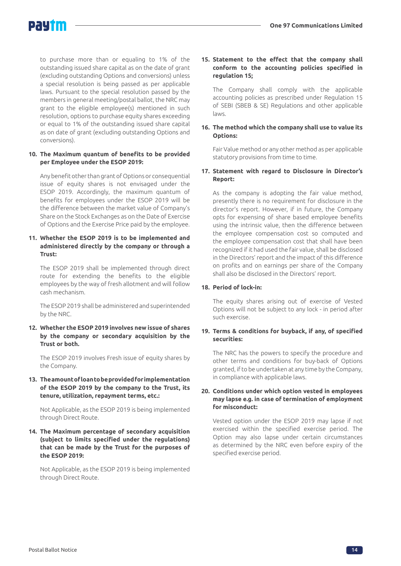to purchase more than or equaling to 1% of the outstanding issued share capital as on the date of grant (excluding outstanding Options and conversions) unless a special resolution is being passed as per applicable laws. Pursuant to the special resolution passed by the members in general meeting/postal ballot, the NRC may grant to the eligible employee(s) mentioned in such resolution, options to purchase equity shares exceeding or equal to 1% of the outstanding issued share capital as on date of grant (excluding outstanding Options and conversions).

### **10. The Maximum quantum of benefits to be provided per Employee under the ESOP 2019:**

Any benefit other than grant of Options or consequential issue of equity shares is not envisaged under the ESOP 2019. Accordingly, the maximum quantum of benefits for employees under the ESOP 2019 will be the difference between the market value of Company's Share on the Stock Exchanges as on the Date of Exercise of Options and the Exercise Price paid by the employee.

### **11. Whether the ESOP 2019 is to be implemented and administered directly by the company or through a Trust:**

The ESOP 2019 shall be implemented through direct route for extending the benefits to the eligible employees by the way of fresh allotment and will follow cash mechanism.

The ESOP 2019 shall be administered and superintended by the NRC.

### **12. Whether the ESOP 2019 involves new issue of shares by the company or secondary acquisition by the Trust or both.**

The ESOP 2019 involves Fresh issue of equity shares by the Company.

### **13. The amount of loan to be provided for implementation of the ESOP 2019 by the company to the Trust, its tenure, utilization, repayment terms, etc.:**

Not Applicable, as the ESOP 2019 is being implemented through Direct Route.

### **14. The Maximum percentage of secondary acquisition (subject to limits specified under the regulations) that can be made by the Trust for the purposes of the ESOP 2019:**

Not Applicable, as the ESOP 2019 is being implemented through Direct Route.

### **15. Statement to the effect that the company shall conform to the accounting policies specified in regulation 15;**

The Company shall comply with the applicable accounting policies as prescribed under Regulation 15 of SEBI (SBEB & SE) Regulations and other applicable laws.

### **16. The method which the company shall use to value its Options:**

Fair Value method or any other method as per applicable statutory provisions from time to time.

### **17. Statement with regard to Disclosure in Director's Report:**

As the company is adopting the fair value method, presently there is no requirement for disclosure in the director's report. However, if in future, the Company opts for expensing of share based employee benefits using the intrinsic value, then the difference between the employee compensation cost so computed and the employee compensation cost that shall have been recognized if it had used the fair value, shall be disclosed in the Directors' report and the impact of this difference on profits and on earnings per share of the Company shall also be disclosed in the Directors' report.

### **18. Period of lock-in:**

The equity shares arising out of exercise of Vested Options will not be subject to any lock - in period after such exercise.

### **19. Terms & conditions for buyback, if any, of specified securities:**

The NRC has the powers to specify the procedure and other terms and conditions for buy-back of Options granted, if to be undertaken at any time by the Company, in compliance with applicable laws.

### **20. Conditions under which option vested in employees may lapse e.g. in case of termination of employment for misconduct:**

Vested option under the ESOP 2019 may lapse if not exercised within the specified exercise period. The Option may also lapse under certain circumstances as determined by the NRC even before expiry of the specified exercise period.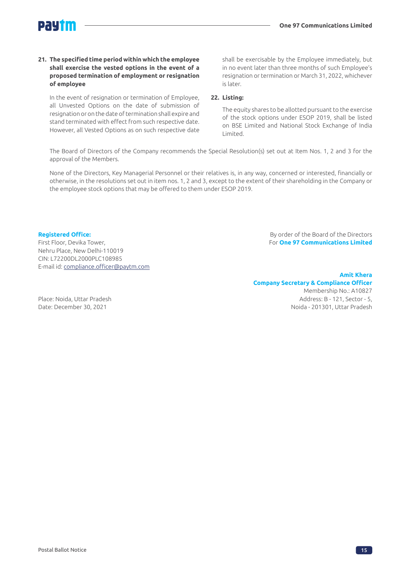### **21. The specified time period within which the employee shall exercise the vested options in the event of a proposed termination of employment or resignation of employee**

In the event of resignation or termination of Employee, all Unvested Options on the date of submission of resignation or on the date of termination shall expire and stand terminated with effect from such respective date. However, all Vested Options as on such respective date shall be exercisable by the Employee immediately, but in no event later than three months of such Employee's resignation or termination or March 31, 2022, whichever is later.

### **22. Listing:**

The equity shares to be allotted pursuant to the exercise of the stock options under ESOP 2019, shall be listed on BSE Limited and National Stock Exchange of India Limited.

The Board of Directors of the Company recommends the Special Resolution(s) set out at Item Nos. 1, 2 and 3 for the approval of the Members.

None of the Directors, Key Managerial Personnel or their relatives is, in any way, concerned or interested, financially or otherwise, in the resolutions set out in item nos. 1, 2 and 3, except to the extent of their shareholding in the Company or the employee stock options that may be offered to them under ESOP 2019.

Nehru Place, New Delhi-110019 CIN: L72200DL2000PLC108985 E-mail id: compliance.officer@paytm.com

**Registered Office: By order of the Board of the Directors** First Floor, Devika Tower, For **One 97 Communications Limited**

### **Amit Khera**

### **Company Secretary & Compliance Officer**  Membership No.: A10827

Place: Noida, Uttar Pradesh Address: B - 121, Sector - 5, Date: December 30, 2021 Noida - 201301, Uttar Pradesh